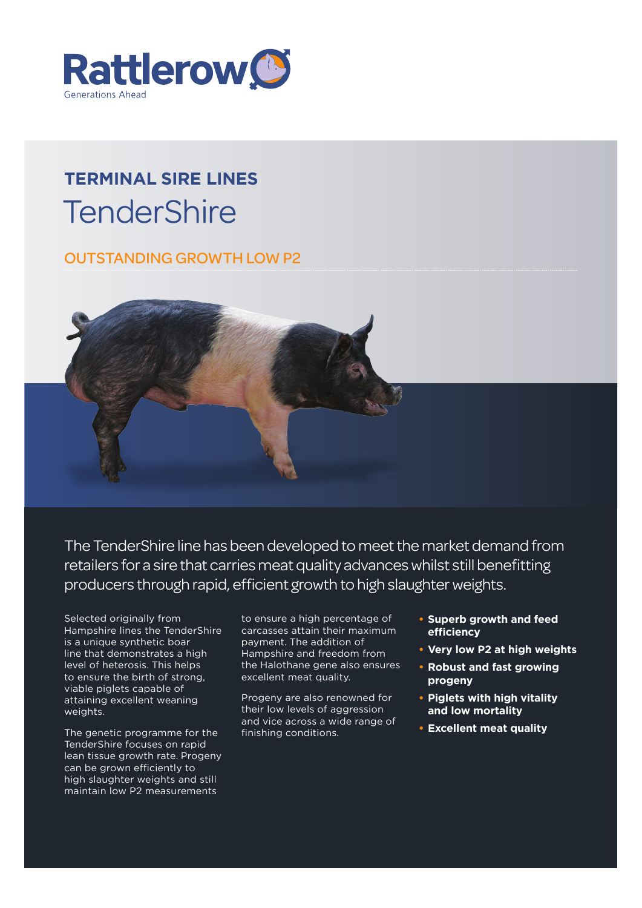

# **Terminal sire lines TenderShire**

OUTSTANDING GROWTH LOW P2



The TenderShire line has been developed to meet the market demand from retailers for a sire that carries meat quality advances whilst still benefitting producers through rapid, efficient growth to high slaughter weights.

Selected originally from Hampshire lines the TenderShire is a unique synthetic boar line that demonstrates a high level of heterosis. This helps to ensure the birth of strong, viable piglets capable of attaining excellent weaning weights.

The genetic programme for the TenderShire focuses on rapid lean tissue growth rate. Progeny can be grown efficiently to high slaughter weights and still maintain low P2 measurements

to ensure a high percentage of carcasses attain their maximum payment. The addition of Hampshire and freedom from the Halothane gene also ensures excellent meat quality.

Progeny are also renowned for their low levels of aggression and vice across a wide range of finishing conditions.

- **• Superb growth and feed efficiency**
- **• Very low P2 at high weights**
- **• Robust and fast growing progeny**
- **• Piglets with high vitality and low mortality**
- **• Excellent meat quality**